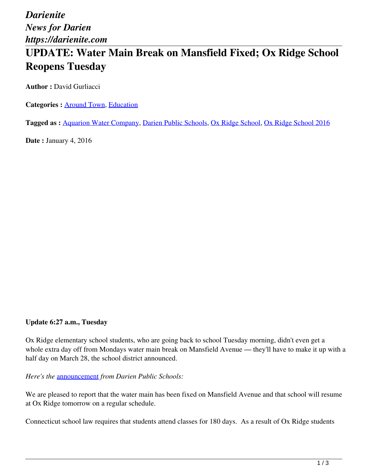*Darienite News for Darien https://darienite.com*

# **UPDATE: Water Main Break on Mansfield Fixed; Ox Ridge School Reopens Tuesday**

**Author :** David Gurliacci

Categories : **Around Town**, **Education** 

**Tagged as :** Aquarion Water Company, Darien Public Schools, Ox Ridge School, Ox Ridge School 2016

**Date : January 4, 2016** 

#### **Update 6:27 a.m., Tuesday**

Ox Ridge elementary school students, who are going back to school Tuesday morning, didn't even get a whole extra day off from Mondays water main break on Mansfield Avenue — they'll have to make it up with a half day on March 28, the school district announced.

*Here's the* announcement *from Darien Public Schools:*

We are pleased to report that the water main has been fixed on Mansfield Avenue and that school will resume at Ox Ridge tomorrow on a regular schedule.

Connecticut school law requires that students attend classes for 180 days. As a result of Ox Ridge students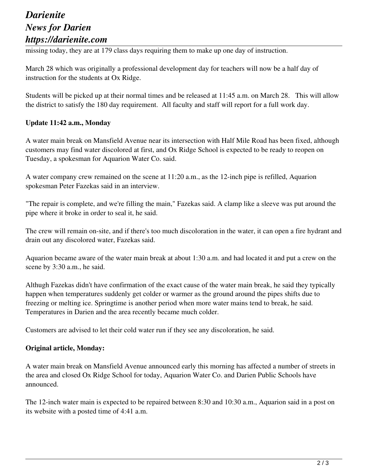## *Darienite News for Darien https://darienite.com*

missing today, they are at 179 class days requiring them to make up one day of instruction.

March 28 which was originally a professional development day for teachers will now be a half day of instruction for the students at Ox Ridge.

Students will be picked up at their normal times and be released at 11:45 a.m. on March 28. This will allow the district to satisfy the 180 day requirement. All faculty and staff will report for a full work day.

### **Update 11:42 a.m., Monday**

A water main break on Mansfield Avenue near its intersection with Half Mile Road has been fixed, although customers may find water discolored at first, and Ox Ridge School is expected to be ready to reopen on Tuesday, a spokesman for Aquarion Water Co. said.

A water company crew remained on the scene at 11:20 a.m., as the 12-inch pipe is refilled, Aquarion spokesman Peter Fazekas said in an interview.

"The repair is complete, and we're filling the main," Fazekas said. A clamp like a sleeve was put around the pipe where it broke in order to seal it, he said.

The crew will remain on-site, and if there's too much discoloration in the water, it can open a fire hydrant and drain out any discolored water, Fazekas said.

Aquarion became aware of the water main break at about 1:30 a.m. and had located it and put a crew on the scene by 3:30 a.m., he said.

Althugh Fazekas didn't have confirmation of the exact cause of the water main break, he said they typically happen when temperatures suddenly get colder or warmer as the ground around the pipes shifts due to freezing or melting ice. Springtime is another period when more water mains tend to break, he said. Temperatures in Darien and the area recently became much colder.

Customers are advised to let their cold water run if they see any discoloration, he said.

#### **Original article, Monday:**

A water main break on Mansfield Avenue announced early this morning has affected a number of streets in the area and closed Ox Ridge School for today, Aquarion Water Co. and Darien Public Schools have announced.

The 12-inch water main is expected to be repaired between 8:30 and 10:30 a.m., Aquarion said in a post on its website with a posted time of 4:41 a.m.